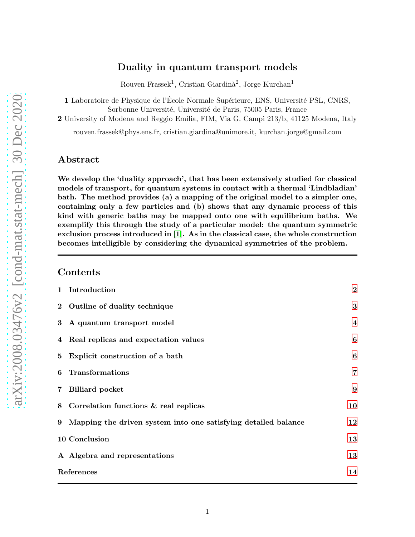# Duality in quantum transport models

Rouven Frassek<sup>1</sup>, Cristian Giardinà<sup>2</sup>, Jorge Kurchan<sup>1</sup>

1 Laboratoire de Physique de l'École Normale Supérieure, ENS, Université PSL, CNRS, Sorbonne Université, Université de Paris, 75005 Paris, France

2 University of Modena and Reggio Emilia, FIM, Via G. Campi 213/b, 41125 Modena, Italy

rouven.frassek@phys.ens.fr, cristian.giardina@unimore.it, kurchan.jorge@gmail.com

### Abstract

We develop the 'duality approach', that has been extensively studied for classical models of transport, for quantum systems in contact with a thermal 'Lindbladian' bath. The method provides (a) a mapping of the original model to a simpler one, containing only a few particles and (b) shows that any dynamic process of this kind with generic baths may be mapped onto one with equilibrium baths. We exemplify this through the study of a particular model: the quantum symmetric exclusion process introduced in [\[1\]](#page-13-0). As in the classical case, the whole construction becomes intelligible by considering the dynamical symmetries of the problem.

#### Contents

|                | 1 Introduction                                                 | $\overline{2}$ |
|----------------|----------------------------------------------------------------|----------------|
|                | 2 Outline of duality technique                                 | 3              |
| 3 <sup>1</sup> | A quantum transport model                                      | $\overline{4}$ |
|                | 4 Real replicas and expectation values                         | 6              |
| 5 <sup>5</sup> | Explicit construction of a bath                                | 6              |
| 6              | Transformations                                                | $\overline{7}$ |
| 7 <sup>1</sup> | <b>Billiard</b> pocket                                         | 9              |
|                | 8 Correlation functions & real replicas                        | 10             |
| 9              | Mapping the driven system into one satisfying detailed balance | 12             |
|                | 10 Conclusion                                                  | 13             |
|                | A Algebra and representations                                  | 13             |
|                | References                                                     | 14             |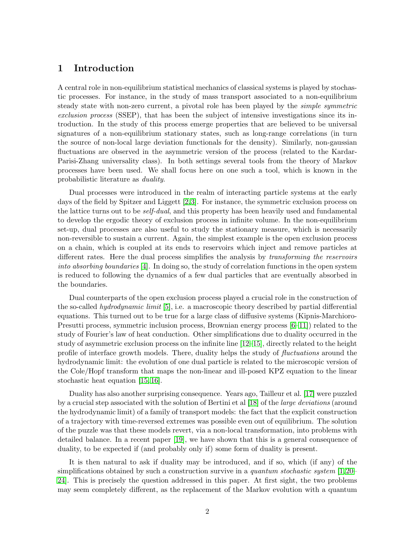### <span id="page-1-0"></span>1 Introduction

A central role in non-equilibrium statistical mechanics of classical systems is played by stochastic processes. For instance, in the study of mass transport associated to a non-equilibrium steady state with non-zero current, a pivotal role has been played by the *simple symmetric exclusion process* (SSEP), that has been the subject of intensive investigations since its introduction. In the study of this process emerge properties that are believed to be universal signatures of a non-equilibrium stationary states, such as long-range correlations (in turn the source of non-local large deviation functionals for the density). Similarly, non-gaussian fluctuations are observed in the asymmetric version of the process (related to the Kardar-Parisi-Zhang universality class). In both settings several tools from the theory of Markov processes have been used. We shall focus here on one such a tool, which is known in the probabilistic literature as *duality*.

Dual processes were introduced in the realm of interacting particle systems at the early days of the field by Spitzer and Liggett [\[2,](#page-13-2)[3\]](#page-13-3). For instance, the symmetric exclusion process on the lattice turns out to be *self-dual*, and this property has been heavily used and fundamental to develop the ergodic theory of exclusion process in infinite volume. In the non-equilibrium set-up, dual processes are also useful to study the stationary measure, which is necessarily non-reversible to sustain a current. Again, the simplest example is the open exclusion process on a chain, which is coupled at its ends to reservoirs which inject and remove particles at different rates. Here the dual process simplifies the analysis by *transforming the reservoirs into absorbing boundaries* [\[4\]](#page-13-4). In doing so, the study of correlation functions in the open system is reduced to following the dynamics of a few dual particles that are eventually absorbed in the boundaries.

Dual counterparts of the open exclusion process played a crucial role in the construction of the so-called *hydrodynamic limit* [\[5\]](#page-14-0), i.e. a macroscopic theory described by partial differential equations. This turned out to be true for a large class of diffusive systems (Kipnis-Marchioro-Presutti process, symmetric inclusion process, Brownian energy process  $[6-11]$ ) related to the study of Fourier's law of heat conduction. Other simplifications due to duality occurred in the study of asymmetric exclusion process on the infinite line [\[12](#page-14-3)[–15\]](#page-14-4), directly related to the height profile of interface growth models. There, duality helps the study of *fluctuations* around the hydrodynamic limit: the evolution of one dual particle is related to the microscopic version of the Cole/Hopf transform that maps the non-linear and ill-posed KPZ equation to the linear stochastic heat equation [\[15,](#page-14-4) [16\]](#page-14-5).

Duality has also another surprising consequence. Years ago, Tailleur et al. [\[17\]](#page-14-6) were puzzled by a crucial step associated with the solution of Bertini et al [\[18\]](#page-14-7) of the *large deviations* (around the hydrodynamic limit) of a family of transport models: the fact that the explicit construction of a trajectory with time-reversed extremes was possible even out of equilibrium. The solution of the puzzle was that these models revert, via a non-local transformation, into problems with detailed balance. In a recent paper [\[19\]](#page-14-8), we have shown that this is a general consequence of duality, to be expected if (and probably only if) some form of duality is present.

It is then natural to ask if duality may be introduced, and if so, which (if any) of the simplifications obtained by such a construction survive in a *quantum stochastic system* [\[1,](#page-13-0)[20–](#page-15-0) [24\]](#page-15-1). This is precisely the question addressed in this paper. At first sight, the two problems may seem completely different, as the replacement of the Markov evolution with a quantum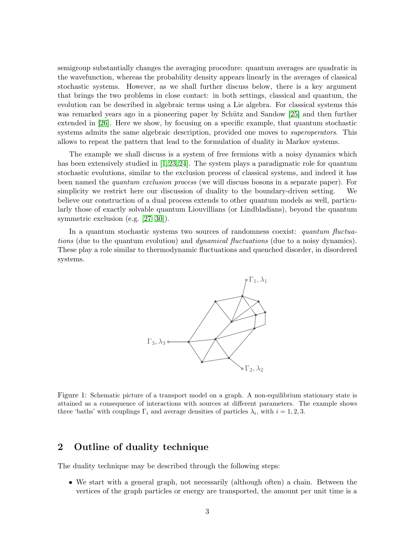semigroup substantially changes the averaging procedure: quantum averages are quadratic in the wavefunction, whereas the probability density appears linearly in the averages of classical stochastic systems. However, as we shall further discuss below, there is a key argument that brings the two problems in close contact: in both settings, classical and quantum, the evolution can be described in algebraic terms using a Lie algebra. For classical systems this was remarked years ago in a pioneering paper by Schütz and Sandow [\[25\]](#page-15-2) and then further extended in [\[26\]](#page-15-3). Here we show, by focusing on a specific example, that quantum stochastic systems admits the same algebraic description, provided one moves to *superoperators*. This allows to repeat the pattern that lead to the formulation of duality in Markov systems.

The example we shall discuss is a system of free fermions with a noisy dynamics which has been extensively studied in  $[1, 23, 24]$  $[1, 23, 24]$  $[1, 23, 24]$ . The system plays a paradigmatic role for quantum stochastic evolutions, similar to the exclusion process of classical systems, and indeed it has been named the *quantum exclusion process* (we will discuss bosons in a separate paper). For simplicity we restrict here our discussion of duality to the boundary-driven setting. We believe our construction of a dual process extends to other quantum models as well, particularly those of exactly solvable quantum Liouvillians (or Lindbladians), beyond the quantum symmetric exclusion (e.g. [\[27](#page-15-5)[–30\]](#page-15-6)).

In a quantum stochastic systems two sources of randomness coexist: *quantum fluctuations* (due to the quantum evolution) and *dynamical fluctuations* (due to a noisy dynamics). These play a role similar to thermodynamic fluctuations and quenched disorder, in disordered systems.



Figure 1: Schematic picture of a transport model on a graph. A non-equilibrium stationary state is attained as a consequence of interactions with sources at different parameters. The example shows three 'baths' with couplings  $\Gamma_i$  and average densities of particles  $\lambda_i$ , with  $i = 1, 2, 3$ .

### <span id="page-2-0"></span>2 Outline of duality technique

The duality technique may be described through the following steps:

• We start with a general graph, not necessarily (although often) a chain. Between the vertices of the graph particles or energy are transported, the amount per unit time is a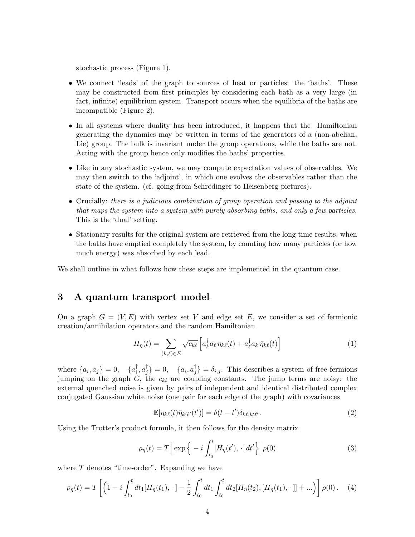stochastic process (Figure 1).

- We connect 'leads' of the graph to sources of heat or particles: the 'baths'. These may be constructed from first principles by considering each bath as a very large (in fact, infinite) equilibrium system. Transport occurs when the equilibria of the baths are incompatible (Figure 2).
- In all systems where duality has been introduced, it happens that the Hamiltonian generating the dynamics may be written in terms of the generators of a (non-abelian, Lie) group. The bulk is invariant under the group operations, while the baths are not. Acting with the group hence only modifies the baths' properties.
- Like in any stochastic system, we may compute expectation values of observables. We may then switch to the 'adjoint', in which one evolves the observables rather than the state of the system. (cf. going from Schrödinger to Heisenberg pictures).
- Crucially: *there is a judicious combination of group operation and passing to the adjoint that maps the system into a system with purely absorbing baths, and only a few particles.* This is the 'dual' setting.
- Stationary results for the original system are retrieved from the long-time results, when the baths have emptied completely the system, by counting how many particles (or how much energy) was absorbed by each lead.

We shall outline in what follows how these steps are implemented in the quantum case.

#### <span id="page-3-0"></span>3 A quantum transport model

On a graph  $G = (V, E)$  with vertex set V and edge set E, we consider a set of fermionic creation/annihilation operators and the random Hamiltonian

$$
H_{\eta}(t) = \sum_{(k,\ell)\in E} \sqrt{c_{k\ell}} \left[ a_k^{\dagger} a_{\ell} \eta_{k\ell}(t) + a_\ell^{\dagger} a_k \bar{\eta}_{k\ell}(t) \right]
$$
(1)

where  $\{a_i, a_j\} = 0, \quad \{a_i^{\dagger}\}$  $_{i}^{\dagger},a_{j}^{\dagger}$  $\{a_i, a_j^{\dagger}\} = 0, \quad \{a_i, a_j^{\dagger}\}$  $\{\bar{j}\} = \delta_{i,j}$ . This describes a system of free fermions jumping on the graph  $G$ , the  $c_{kl}$  are coupling constants. The jump terms are noisy: the external quenched noise is given by pairs of independent and identical distributed complex conjugated Gaussian white noise (one pair for each edge of the graph) with covariances

<span id="page-3-2"></span>
$$
\mathbb{E}[\eta_{k\ell}(t)\bar{\eta}_{k'\ell'}(t')] = \delta(t - t')\delta_{k\ell,k'\ell'}.
$$
\n(2)

Using the Trotter's product formula, it then follows for the density matrix

<span id="page-3-1"></span>
$$
\rho_{\eta}(t) = T \Big[ \exp \Big\{ -i \int_{t_0}^t [H_{\eta}(t'), \cdot] dt' \Big\} \Big] \rho(0) \tag{3}
$$

where  $T$  denotes "time-order". Expanding we have

$$
\rho_{\eta}(t) = T \left[ \left( 1 - i \int_{t_0}^t dt_1 [H_{\eta}(t_1), \cdot] - \frac{1}{2} \int_{t_0}^t dt_1 \int_{t_0}^t dt_2 [H_{\eta}(t_2), [H_{\eta}(t_1), \cdot]] + \ldots \right) \right] \rho(0). \quad (4)
$$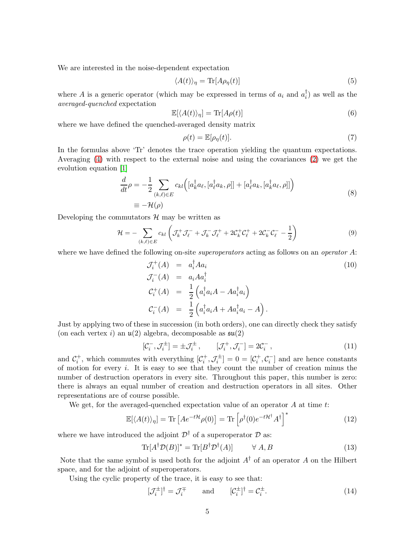We are interested in the noise-dependent expectation

$$
\langle A(t) \rangle_{\eta} = \text{Tr}[A\rho_{\eta}(t)] \tag{5}
$$

where A is a generic operator (which may be expressed in terms of  $a_i$  and  $a_i^{\dagger}$  $\binom{1}{i}$  as well as the *averaged-quenched* expectation

$$
\mathbb{E}[\langle A(t)\rangle_{\eta}] = \text{Tr}[A\rho(t)] \tag{6}
$$

where we have defined the quenched-averaged density matrix

$$
\rho(t) = \mathbb{E}[\rho_{\eta}(t)].\tag{7}
$$

In the formulas above 'Tr' denotes the trace operation yielding the quantum expectations. Averaging [\(4\)](#page-3-1) with respect to the external noise and using the covariances [\(2\)](#page-3-2) we get the evolution equation [\[1\]](#page-13-0)

$$
\frac{d}{dt}\rho = -\frac{1}{2} \sum_{(k,\ell)\in E} c_{kl} \Big( [a_k^{\dagger} a_{\ell}, [a_\ell^{\dagger} a_k, \rho]] + [a_\ell^{\dagger} a_k, [a_k^{\dagger} a_{\ell}, \rho]] \Big) \n\equiv -\mathcal{H}(\rho)
$$
\n(8)

Developing the commutators  $\mathcal{H}$  may be written as

$$
\mathcal{H} = -\sum_{(k,\ell)\in E} c_{kl} \left( \mathcal{J}_k^+ \mathcal{J}_\ell^- + \mathcal{J}_k^- \mathcal{J}_\ell^+ + 2\mathcal{C}_k^+ \mathcal{C}_\ell^+ + 2\mathcal{C}_k^- \mathcal{C}_\ell^- - \frac{1}{2} \right) \tag{9}
$$

where we have defined the following on-site *superoperators* acting as follows on an *operator* A:

<span id="page-4-1"></span>
$$
\mathcal{J}_i^+(A) = a_i^{\dagger} A a_i
$$
\n
$$
\mathcal{J}_i^-(A) = a_i A a_i^{\dagger}
$$
\n
$$
\mathcal{C}_i^+(A) = \frac{1}{2} \left( a_i^{\dagger} a_i A - A a_i^{\dagger} a_i \right)
$$
\n
$$
\mathcal{C}_i^-(A) = \frac{1}{2} \left( a_i^{\dagger} a_i A + A a_i^{\dagger} a_i - A \right).
$$
\n(10)

Just by applying two of these in succession (in both orders), one can directly check they satisfy (on each vertex i) an  $\mathfrak{u}(2)$  algebra, decomposable as  $\mathfrak{su}(2)$ 

$$
[\mathcal{C}_i^-, \mathcal{J}_i^{\pm}] = \pm \mathcal{J}_i^{\pm}, \qquad [\mathcal{J}_i^+, \mathcal{J}_i^-] = 2\mathcal{C}_i^-, \qquad (11)
$$

and  $C_i^+$ , which commutes with everything  $[C_i^+,\mathcal{J}_i^{\pm}] = 0 = [C_i^+,\mathcal{C}_i^-]$  and are hence constants of motion for every  $i$ . It is easy to see that they count the number of creation minus the number of destruction operators in every site. Throughout this paper, this number is zero: there is always an equal number of creation and destruction operators in all sites. Other representations are of course possible.

We get, for the averaged-quenched expectation value of an operator  $A$  at time  $t$ :

$$
\mathbb{E}[\langle A(t)\rangle_{\eta}] = \text{Tr}\left[Ae^{-t\mathcal{H}}\rho(0)\right] = \text{Tr}\left[\rho^{\dagger}(0)e^{-t\mathcal{H}^{\dagger}}A^{\dagger}\right]^{*} \tag{12}
$$

where we have introduced the adjoint  $\mathcal{D}^{\dagger}$  of a superoperator  $\mathcal D$  as:

$$
\operatorname{Tr}[A^{\dagger} \mathcal{D}(B)]^* = \operatorname{Tr}[B^{\dagger} \mathcal{D}^{\dagger}(A)] \qquad \forall A, B \tag{13}
$$

Note that the same symbol is used both for the adjoint  $A^{\dagger}$  of an operator A on the Hilbert space, and for the adjoint of superoperators.

Using the cyclic property of the trace, it is easy to see that:

<span id="page-4-0"></span>
$$
[\mathcal{J}_i^{\pm}]^{\dagger} = \mathcal{J}_i^{\mp} \quad \text{and} \quad [\mathcal{C}_i^{\pm}]^{\dagger} = \mathcal{C}_i^{\pm}.
$$
 (14)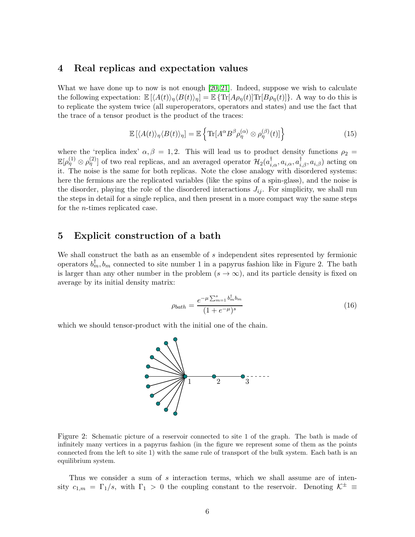#### <span id="page-5-0"></span>4 Real replicas and expectation values

What we have done up to now is not enough  $[20, 21]$  $[20, 21]$ . Indeed, suppose we wish to calculate the following expectation:  $\mathbb{E} \left[ \langle A(t) \rangle_n \langle B(t) \rangle_n \right] = \mathbb{E} \left\{ \text{Tr}[A\rho_n(t)] \text{Tr}[B\rho_n(t)] \right\}.$  A way to do this is to replicate the system twice (all superoperators, operators and states) and use the fact that the trace of a tensor product is the product of the traces:

$$
\mathbb{E}\left[\langle A(t)\rangle_{\eta}\langle B(t)\rangle_{\eta}\right] = \mathbb{E}\left\{\text{Tr}[A^{\alpha}B^{\beta}\rho_{\eta}^{(\alpha)}\otimes\rho_{\eta}^{(\beta)}(t)]\right\}
$$
(15)

where the 'replica index'  $\alpha, \beta = 1, 2$ . This will lead us to product density functions  $\rho_2 =$  $\mathbb{E}[\rho^{(1)}_{\eta} \otimes \rho^{(2)}_{\eta}]$  of two real replicas, and an averaged operator  $\mathcal{H}_2(a^{\dagger}_{i,\alpha}, a_{i,\alpha}, a^{\dagger}_{i,\beta}, a_{i,\beta})$  acting on it. The noise is the same for both replicas. Note the close analogy with disordered systems: here the fermions are the replicated variables (like the spins of a spin-glass), and the noise is the disorder, playing the role of the disordered interactions  $J_{ij}$ . For simplicity, we shall run the steps in detail for a single replica, and then present in a more compact way the same steps for the n-times replicated case.

### <span id="page-5-1"></span>5 Explicit construction of a bath

We shall construct the bath as an ensemble of s independent sites represented by fermionic operators  $b_m^{\dagger}, b_m$  connected to site number 1 in a papyrus fashion like in Figure 2. The bath is larger than any other number in the problem  $(s \to \infty)$ , and its particle density is fixed on average by its initial density matrix:

$$
\rho_{bath} = \frac{e^{-\mu \sum_{m=1}^{s} b_m^{\dagger} b_m}}{(1 + e^{-\mu})^s}
$$
(16)

which we should tensor-product with the initial one of the chain.



Figure 2: Schematic picture of a reservoir connected to site 1 of the graph. The bath is made of infinitely many vertices in a papyrus fashion (in the figure we represent some of them as the points connected from the left to site 1) with the same rule of transport of the bulk system. Each bath is an equilibrium system.

Thus we consider a sum of  $s$  interaction terms, which we shall assume are of intensity  $c_{1,m} = \Gamma_1/s$ , with  $\Gamma_1 > 0$  the coupling constant to the reservoir. Denoting  $\mathcal{K}^{\pm} \equiv$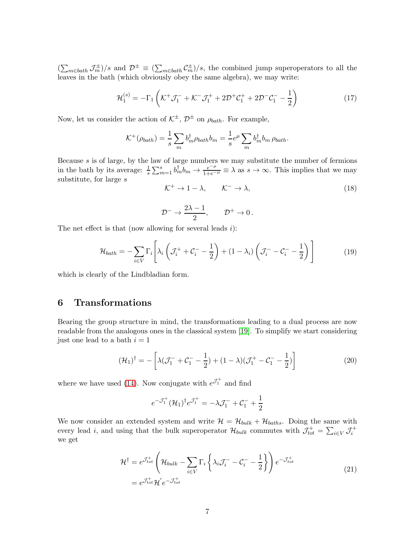$(\sum_{m\in bath}J_m^{\pm})/s$  and  $\mathcal{D}^{\pm}\equiv(\sum_{m\in bath}\mathcal{C}_m^{\pm})/s$ , the combined jump superoperators to all the leaves in the bath (which obviously obey the same algebra), we may write:

$$
\mathcal{H}_1^{(s)} = -\Gamma_1 \left( \mathcal{K}^+ \mathcal{J}_1^- + \mathcal{K}^- \mathcal{J}_1^+ + 2\mathcal{D}^+ \mathcal{C}_1^+ + 2\mathcal{D}^- \mathcal{C}_1^- - \frac{1}{2} \right) \tag{17}
$$

Now, let us consider the action of  $K^{\pm}$ ,  $\mathcal{D}^{\pm}$  on  $\rho_{bath}$ . For example,

$$
\mathcal{K}^+(\rho_{bath}) = \frac{1}{s} \sum_m b_m^{\dagger} \rho_{bath} b_m = \frac{1}{s} e^{\mu} \sum_m b_m^{\dagger} b_m \rho_{bath}.
$$

Because s is of large, by the law of large numbers we may substitute the number of fermions in the bath by its average:  $\frac{1}{s}\sum_{m=1}^s b_m^{\dagger}b_m \to \frac{e^{-\mu}}{1+e^{-\mu}} \equiv \lambda$  as  $s \to \infty$ . This implies that we may substitute, for large  $s$ 

<span id="page-6-2"></span><span id="page-6-1"></span>
$$
\mathcal{K}^+ \to 1 - \lambda, \qquad \mathcal{K}^- \to \lambda,\tag{18}
$$

$$
\mathcal{D}^- \to \frac{2\lambda - 1}{2}, \qquad \mathcal{D}^+ \to 0\,.
$$

The net effect is that (now allowing for several leads  $i$ ):

$$
\mathcal{H}_{bath} = -\sum_{i \in V} \Gamma_i \left[ \lambda_i \left( \mathcal{J}_i^+ + \mathcal{C}_i^- - \frac{1}{2} \right) + (1 - \lambda_i) \left( \mathcal{J}_i^- - \mathcal{C}_i^- - \frac{1}{2} \right) \right]
$$
(19)

which is clearly of the Lindbladian form.

### <span id="page-6-0"></span>6 Transformations

Bearing the group structure in mind, the transformations leading to a dual process are now readable from the analogous ones in the classical system [\[19\]](#page-14-8). To simplify we start considering just one lead to a bath  $i = 1$ 

$$
(\mathcal{H}_1)^{\dagger} = -\left[\lambda(\mathcal{J}_1^- + \mathcal{C}_1^- - \frac{1}{2}) + (1 - \lambda)(\mathcal{J}_1^+ - \mathcal{C}_1^- - \frac{1}{2})\right]
$$
(20)

where we have used [\(14\)](#page-4-0). Now conjugate with  $e^{\mathcal{J}_1^+}$  and find

$$
e^{-\mathcal{J}_1^+}(\mathcal{H}_1)^{\dagger}e^{\mathcal{J}_1^+} = -\lambda \mathcal{J}_1^- + \mathcal{C}_1^- + \frac{1}{2}
$$

<span id="page-6-3"></span>We now consider an extended system and write  $\mathcal{H} = \mathcal{H}_{bulk} + \mathcal{H}_{baths}$ . Doing the same with every lead *i*, and using that the bulk superoperator  $\mathcal{H}_{bulk}$  commutes with  $\mathcal{J}_{tot}^+ = \sum_{i \in V} \mathcal{J}_i^+$ we get

$$
\mathcal{H}^{\dagger} = e^{\mathcal{J}_{tot}^{+}} \left( \mathcal{H}_{bulk} - \sum_{i \in V} \Gamma_i \left\{ \lambda_i \mathcal{J}_i^{-} - \mathcal{C}_i^{-} - \frac{1}{2} \right\} \right) e^{-\mathcal{J}_{tot}^{+}} \n= e^{\mathcal{J}_{tot}^{+}} \mathcal{H}^{'} e^{-\mathcal{J}_{tot}^{+}} \tag{21}
$$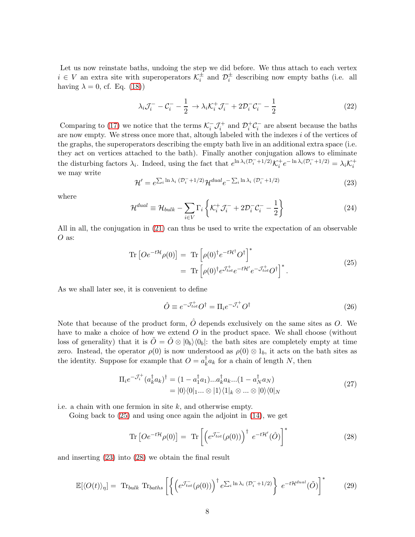Let us now reinstate baths, undoing the step we did before. We thus attach to each vertex  $i \in V$  an extra site with superoperators  $\mathcal{K}_i^{\pm}$  and  $\mathcal{D}_i^{\pm}$  describing now empty baths (i.e. all having  $\lambda = 0$ , cf. Eq. [\(18\)](#page-6-1))

$$
\lambda_i \mathcal{J}_i^- - \mathcal{C}_i^- - \frac{1}{2} \to \lambda_i \mathcal{K}_i^+ \mathcal{J}_i^- + 2 \mathcal{D}_i^- \mathcal{C}_i^- - \frac{1}{2} \tag{22}
$$

Comparing to [\(17\)](#page-6-2) we notice that the terms  $\mathcal{K}_i^- \mathcal{J}_i^+$  and  $\mathcal{D}_i^+ \mathcal{C}_i^-$  are absent because the baths are now empty. We stress once more that, altough labeled with the indexes  $i$  of the vertices of the graphs, the superoperators describing the empty bath live in an additional extra space (i.e. they act on vertices attached to the bath). Finally another conjugation allows to eliminate the disturbing factors  $\lambda_i$ . Indeed, using the fact that  $e^{\ln \lambda_i (\mathcal{D}_i^- + 1/2)} \mathcal{K}_i^+ e^{-\ln \lambda_i (\mathcal{D}_i^- + 1/2)} = \lambda_i \mathcal{K}_i^+$ we may write

<span id="page-7-1"></span>
$$
\mathcal{H}' = e^{\sum_{i} \ln \lambda_i} \left( \mathcal{D}_i^- + 1/2 \right) \mathcal{H}^{dual} e^{-\sum_{i} \ln \lambda_i} \left( \mathcal{D}_i^- + 1/2 \right) \tag{23}
$$

where

$$
\mathcal{H}^{dual} \equiv \mathcal{H}_{bulk} - \sum_{i \in V} \Gamma_i \left\{ \mathcal{K}_i^+ \mathcal{J}_i^- + 2 \mathcal{D}_i^- \mathcal{C}_i^- - \frac{1}{2} \right\} \tag{24}
$$

<span id="page-7-0"></span>All in all, the conjugation in [\(21\)](#page-6-3) can thus be used to write the expectation of an observable O as:

$$
\begin{split} \operatorname{Tr}\left[O e^{-t\mathcal{H}}\rho(0)\right] &= \operatorname{Tr}\left[\rho(0)^{\dagger}e^{-t\mathcal{H}^{\dagger}}O^{\dagger}\right]^{*} \\ &= \operatorname{Tr}\left[\rho(0)^{\dagger}e^{\mathcal{J}_{tot}^{+}}e^{-t\mathcal{H}'}e^{-\mathcal{J}_{tot}^{+}}O^{\dagger}\right]^{*} . \end{split} \tag{25}
$$

As we shall later see, it is convenient to define

<span id="page-7-4"></span>
$$
\hat{O} \equiv e^{-\mathcal{J}_{tot}^{+}} O^{\dagger} = \Pi_{i} e^{-\mathcal{J}_{i}^{+}} O^{\dagger}
$$
\n(26)

Note that because of the product form,  $\hat{O}$  depends exclusively on the same sites as O. We have to make a choice of how we extend O in the product space. We shall choose (without loss of generality) that it is  $O = O \otimes |0_b\rangle\langle0_b|$ : the bath sites are completely empty at time zero. Instead, the operator  $\rho(0)$  is now understood as  $\rho(0) \otimes 1_b$ , it acts on the bath sites as the identity. Suppose for example that  $O = a_k^{\dagger}$  $k_a^{\dagger} a_k$  for a chain of length N, then

$$
\Pi_i e^{-\mathcal{J}_i^+} (a_k^\dagger a_k)^\dagger = (1 - a_1^\dagger a_1) \dots a_k^\dagger a_k \dots (1 - a_N^\dagger a_N) \n= |0\rangle\langle 0|_1 \dots \otimes |1\rangle\langle 1|_k \otimes \dots \otimes |0\rangle\langle 0|_N
$$
\n(27)

i.e. a chain with one fermion in site  $k$ , and otherwise empty.

Going back to [\(25\)](#page-7-0) and using once again the adjoint in [\(14\)](#page-4-0), we get

<span id="page-7-2"></span>
$$
\text{Tr}\left[Oe^{-t\mathcal{H}}\rho(0)\right] = \text{Tr}\left[\left(e^{\mathcal{J}_{tot}^{-}}(\rho(0))\right)^{\dagger}e^{-t\mathcal{H}'}(\hat{O})\right]^{*} \tag{28}
$$

<span id="page-7-3"></span>and inserting [\(23\)](#page-7-1) into [\(28\)](#page-7-2) we obtain the final result

$$
\mathbb{E}[\langle O(t) \rangle_{\eta}] = \text{Tr}_{bulk} \text{Tr}_{baths} \left[ \left\{ \left( e^{\mathcal{J}_{tot}^{-}}(\rho(0)) \right)^{\dagger} e^{\sum_{i} \ln \lambda_{i} (\mathcal{D}_{i}^{-} + 1/2)} \right\} e^{-t \mathcal{H}^{dual}}(\tilde{O}) \right]^{*} \tag{29}
$$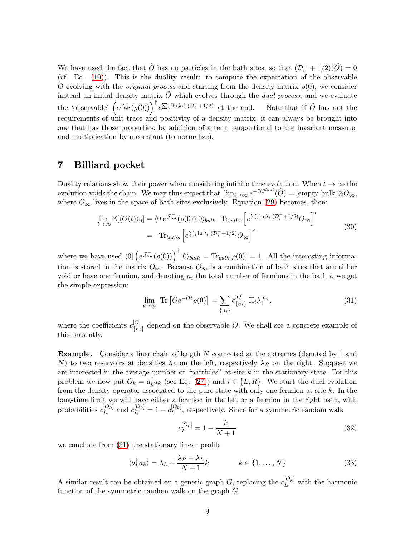We have used the fact that  $\tilde{O}$  has no particles in the bath sites, so that  $(\mathcal{D}_i^- + 1/2)(\tilde{O}) = 0$ (cf. Eq. [\(10\)](#page-4-1)). This is the duality result: to compute the expectation of the observable O evolving with the *original process* and starting from the density matrix  $\rho(0)$ , we consider instead an initial density matrix  $O$  which evolves through the *dual process*, and we evaluate the 'observable'  $(e^{\int_{tot}^{\tau} (\rho(0))}\Big)^{\dagger} e^{\sum_i (\ln \lambda_i) (\mathcal{D}_i^{-} + 1/2)}$  at the end. Note that if  $\tilde{O}$  has not the requirements of unit trace and positivity of a density matrix, it can always be brought into one that has those properties, by addition of a term proportional to the invariant measure, and multiplication by a constant (to normalize).

### <span id="page-8-0"></span>7 Billiard pocket

Duality relations show their power when considering infinite time evolution. When  $t \to \infty$  the evolution voids the chain. We may thus expect that  $\lim_{t\to\infty} e^{-t\mathcal{H}^{dual}}(\tilde{O}) = [\text{empty bulk}]\otimes O_{\infty},$ where  $O_{\infty}$  lives in the space of bath sites exclusively. Equation [\(29\)](#page-7-3) becomes, then:

$$
\lim_{t \to \infty} \mathbb{E}[\langle O(t) \rangle_{\eta}] = \langle 0 | e^{\mathcal{J}_{tot}^{-}}(\rho(0)) | 0 \rangle_{bulk} \operatorname{Tr}_{baths} \left[ e^{\sum_{i} \ln \lambda_{i} (\mathcal{D}_{i}^{-} + 1/2)} O_{\infty} \right]^{*}
$$
\n
$$
= \operatorname{Tr}_{baths} \left[ e^{\sum_{i} \ln \lambda_{i} (\mathcal{D}_{i}^{-} + 1/2)} O_{\infty} \right]^{*}
$$
\n(30)

where we have used  $\langle 0|\left(e^{\mathcal{J}_{tot}^{-}}(\rho(0))\right)^{\dagger}|0\rangle_{bulk} = \text{Tr}_{bulk}[\rho(0)] = 1$ . All the interesting information is stored in the matrix  $O_{\infty}$ . Because  $O_{\infty}$  is a combination of bath sites that are either void or have one fermion, and denoting  $n_i$  the total number of fermions in the bath i, we get the simple expression:

<span id="page-8-1"></span>
$$
\lim_{t \to \infty} \text{Tr} \left[ O e^{-t\mathcal{H}} \rho(0) \right] = \sum_{\{n_i\}} c_{\{n_i\}}^{[O]} \Pi_i \lambda_i^{n_i}, \tag{31}
$$

where the coefficients  $c_{\ell_n}^{[O]}$  ${[O] \choose {n_i}}$  depend on the observable O. We shall see a concrete example of this presently.

**Example.** Consider a liner chain of length N connected at the extremes (denoted by 1 and N) to two reservoirs at densities  $\lambda_L$  on the left, respectively  $\lambda_R$  on the right. Suppose we are interested in the average number of "particles" at site  $k$  in the stationary state. For this problem we now put  $O_k = a_k^{\dagger}$  $k_a^{\dagger}a_k$  (see Eq. [\(27\)](#page-7-4)) and  $i \in \{L, R\}$ . We start the dual evolution from the density operator associated to the pure state with only one fermion at site  $k$ . In the long-time limit we will have either a fermion in the left or a fermion in the right bath, with probabilities  $c_{L}^{[O_k]}$  $\binom{[O_k]}{L}$  and  $c_R^{[O_k]} = 1 - c_L^{[O_k]}$  $L^{[O_k]}$ , respectively. Since for a symmetric random walk

$$
c_L^{[O_k]} = 1 - \frac{k}{N+1} \tag{32}
$$

we conclude from [\(31\)](#page-8-1) the stationary linear profile

$$
\langle a_k^{\dagger} a_k \rangle = \lambda_L + \frac{\lambda_R - \lambda_L}{N+1} k \qquad k \in \{1, ..., N\}
$$
 (33)

A similar result can be obtained on a generic graph G, replacing the  $c_L^{[O_k]}$  with the harmonic function of the symmetric random walk on the graph G.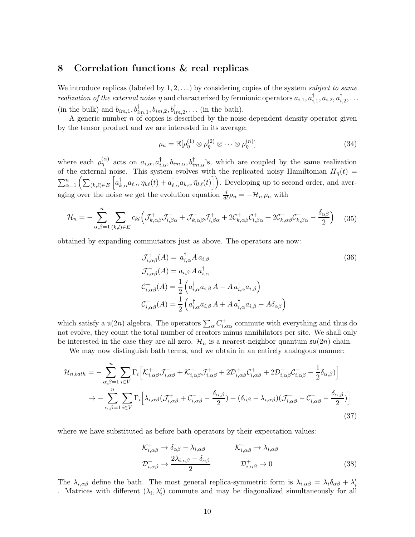### <span id="page-9-0"></span>8 Correlation functions & real replicas

We introduce replicas (labeled by 1, 2, . . .) by considering copies of the system *subject to same realization of the external noise*  $\eta$  and characterized by fermionic operators  $a_{i,1}, a_i^{\dagger}$  $_{i,1}^{\dagger},a_{i,2},a_{i}^{\dagger}$  $_{i,2}^{\dagger}, \ldots$ (in the bulk) and  $b_{im,1}, b^{\dagger}_{im,1}, b_{im,2}, b^{\dagger}_{im,2}, \ldots$  (in the bath).

A generic number  $n$  of copies is described by the noise-dependent density operator given by the tensor product and we are interested in its average:

<span id="page-9-1"></span>
$$
\rho_n = \mathbb{E}[\rho_\eta^{(1)} \otimes \rho_\eta^{(2)} \otimes \cdots \otimes \rho_\eta^{(n)}]
$$
\n(34)

where each  $\rho_{\eta}^{(\alpha)}$  acts on  $a_{i,\alpha}, a_{i,\alpha}^{\dagger}, b_{im,\alpha}, b_{im,\alpha}^{\dagger}$ 's, which are coupled by the same realization of the external noise. This system evolves with the replicated noisy Hamiltonian  $H_{\eta}(t)$  =  $\sum_{\alpha=1}^n\left(\sum_{(k,\ell)\in E}\left[a_{k,\alpha}^{\dagger}a_{\ell,\alpha}\eta_{k\ell}(t)+a_{\ell,\alpha}^{\dagger}a_{k,\alpha}\bar{\eta}_{k\ell}(t)\right]\right)$ . Developing up to second order, and averaging over the noise we get the evolution equation  $\frac{d}{dt}\rho_n = -\mathcal{H}_n \rho_n$  with

$$
\mathcal{H}_n = -\sum_{\alpha,\beta=1}^n \sum_{(k,l)\in E} c_{kl} \Big( \mathcal{J}_{k,\alpha\beta}^+ \mathcal{J}_{l,\beta\alpha}^- + \mathcal{J}_{k,\alpha\beta}^- \mathcal{J}_{l,\beta\alpha}^+ + 2 \mathcal{C}_{k,\alpha\beta}^+ \mathcal{C}_{l,\beta\alpha}^+ + 2 \mathcal{C}_{k,\alpha\beta}^- \mathcal{C}_{k,\beta\alpha}^- - \frac{\delta_{\alpha\beta}}{2} \Big) \tag{35}
$$

obtained by expanding commutators just as above. The operators are now:

$$
\mathcal{J}_{i,\alpha\beta}^{+}(A) = a_{i,\alpha}^{\dagger} A a_{i,\beta}
$$
\n
$$
\mathcal{J}_{i,\alpha\beta}^{-}(A) = a_{i,\beta} A a_{i,\alpha}^{\dagger}
$$
\n
$$
\mathcal{C}_{i,\alpha\beta}^{+}(A) = \frac{1}{2} \left( a_{i,\alpha}^{\dagger} a_{i,\beta} A - A a_{i,\alpha}^{\dagger} a_{i,\beta} \right)
$$
\n
$$
\mathcal{C}_{i,\alpha\beta}^{-}(A) = \frac{1}{2} \left( a_{i,\alpha}^{\dagger} a_{i,\beta} A + A a_{i,\alpha}^{\dagger} a_{i,\beta} - A \delta_{\alpha\beta} \right)
$$
\n(36)

which satisfy a  $\mathfrak{u}(2n)$  algebra. The operators  $\sum_{\alpha} C^+_{i,\alpha\alpha}$  commute with everything and thus do not evolve, they count the total number of creators minus annihilators per site. We shall only be interested in the case they are all zero.  $\mathcal{H}_n$  is a nearest-neighbor quantum  $\mathfrak{su}(2n)$  chain.

We may now distinguish bath terms, and we obtain in an entirely analogous manner:

$$
\mathcal{H}_{n,bath} = -\sum_{\alpha,\beta=1}^{n} \sum_{i \in V} \Gamma_i \Big[ \mathcal{K}_{i,\alpha\beta}^+ \mathcal{J}_{i,\alpha\beta}^- + \mathcal{K}_{i,\alpha\beta}^- \mathcal{J}_{i,\alpha\beta}^+ + 2 \mathcal{D}_{i,\alpha\beta}^+ \mathcal{C}_{i,\alpha\beta}^+ + 2 \mathcal{D}_{i,\alpha\beta}^- \mathcal{C}_{i,\alpha\beta}^- - \frac{1}{2} \delta_{\alpha,\beta} \Big] \Big] \n\rightarrow -\sum_{\alpha,\beta=1}^{n} \sum_{i \in V} \Gamma_i \Big[ \lambda_{i,\alpha\beta} (\mathcal{J}_{i,\alpha\beta}^+ + \mathcal{C}_{i,\alpha\beta}^- - \frac{\delta_{\alpha,\beta}}{2}) + (\delta_{\alpha\beta} - \lambda_{i,\alpha\beta}) (\mathcal{J}_{i,\alpha\beta}^- - \mathcal{C}_{i,\alpha\beta}^- - \frac{\delta_{\alpha,\beta}}{2}) \Big] \tag{37}
$$

where we have substituted as before bath operators by their expectation values:

$$
\mathcal{K}_{i,\alpha\beta}^{+} \to \delta_{\alpha\beta} - \lambda_{i,\alpha\beta} \qquad \mathcal{K}_{i,\alpha\beta}^{-} \to \lambda_{i,\alpha\beta}
$$
\n
$$
\mathcal{D}_{i,\alpha\beta}^{-} \to \frac{2\lambda_{i,\alpha\beta} - \delta_{\alpha\beta}}{2} \qquad \mathcal{D}_{i,\alpha\beta}^{+} \to 0 \qquad (38)
$$

The  $\lambda_{i,\alpha\beta}$  define the bath. The most general replica-symmetric form is  $\lambda_{i,\alpha\beta} = \lambda_i \delta_{\alpha\beta} + \lambda'_i$ . Matrices with different  $(\lambda_i, \lambda'_i)$  commute and may be diagonalized simultaneously for all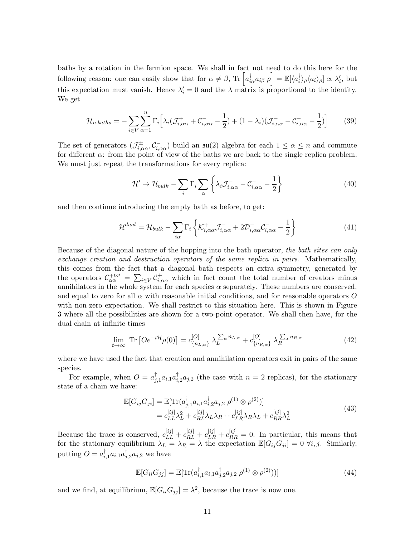baths by a rotation in the fermion space. We shall in fact not need to do this here for the following reason: one can easily show that for  $\alpha \neq \beta$ , Tr  $\left[a_{i\alpha}^{\dagger}a_{i\beta} \rho\right] = \mathbb{E}[\langle a_i^{\dagger}a_i^{\dagger}a_{i\beta} \rangle]$  $\langle i \rangle_{\rho} \langle a_i \rangle_{\rho}] \propto \lambda'_i$ , but this expectation must vanish. Hence  $\lambda'_i = 0$  and the  $\lambda$  matrix is proportional to the identity. We get

$$
\mathcal{H}_{n,baths} = -\sum_{i \in V} \sum_{\alpha=1}^{n} \Gamma_i \Big[ \lambda_i (\mathcal{J}_{i,\alpha\alpha}^+ + \mathcal{C}_{i,\alpha\alpha}^- - \frac{1}{2}) + (1 - \lambda_i) (\mathcal{J}_{i,\alpha\alpha}^- - \mathcal{C}_{i,\alpha\alpha}^- - \frac{1}{2}) \Big] \tag{39}
$$

The set of generators  $(\mathcal{J}^{\pm}_{i,\alpha\alpha},\mathcal{C}^-_{i,\alpha\alpha})$  build an  $\mathfrak{su}(2)$  algebra for each  $1 \leq \alpha \leq n$  and commute for different  $\alpha$ : from the point of view of the baths we are back to the single replica problem. We must just repeat the transformations for every replica:

<span id="page-10-2"></span>
$$
\mathcal{H}' \to \mathcal{H}_{bulk} - \sum_{i} \Gamma_i \sum_{\alpha} \left\{ \lambda_i \mathcal{J}_{i,\alpha\alpha}^- - \mathcal{C}_{i,\alpha\alpha}^- - \frac{1}{2} \right\} \tag{40}
$$

and then continue introducing the empty bath as before, to get:

$$
\mathcal{H}^{dual} = \mathcal{H}_{bulk} - \sum_{i\alpha} \Gamma_i \left\{ \mathcal{K}_{i,\alpha\alpha}^+ \mathcal{J}_{i,\alpha\alpha}^- + 2 \mathcal{D}_{i,\alpha\alpha}^- \mathcal{C}_{i,\alpha\alpha}^- - \frac{1}{2} \right\}
$$
(41)

Because of the diagonal nature of the hopping into the bath operator, *the bath sites can only exchange creation and destruction operators of the same replica in pairs*. Mathematically, this comes from the fact that a diagonal bath respects an extra symmetry, generated by the operators  $\mathcal{C}_{\alpha\alpha}^{+tot} = \sum_{i\in V} \mathcal{C}_{i,\alpha\alpha}^{+}$  which in fact count the total number of creators minus annihilators in the whole system for each species  $\alpha$  separately. These numbers are conserved, and equal to zero for all  $\alpha$  with reasonable initial conditions, and for reasonable operators O with non-zero expectation. We shall restrict to this situation here. This is shown in Figure 3 where all the possibilities are shown for a two-point operator. We shall then have, for the dual chain at infinite times

$$
\lim_{t \to \infty} \text{Tr} \left[ O e^{-t\mathcal{H}} \rho(0) \right] = c_{\{n_{L,\alpha}\}}^{[O]} \lambda_L^{\sum_{\alpha} n_{L,\alpha}} + c_{\{n_{R,\alpha}\}}^{[O]} \lambda_R^{\sum_{\alpha} n_{R,\alpha}} \tag{42}
$$

where we have used the fact that creation and annihilation operators exit in pairs of the same species.

For example, when  $O = a_i^{\dagger}$  $_{j,1}^{\dagger}a_{i,1}a_{i}^{\dagger}$  $i_{i,2}^{\dagger}a_{j,2}$  (the case with  $n=2$  replicas), for the stationary state of a chain we have:

<span id="page-10-0"></span>
$$
\mathbb{E}[G_{ij}G_{ji}] = \mathbb{E}[\text{Tr}(a_{j,1}^{\dagger}a_{i,1}a_{i,2}^{\dagger}a_{j,2} \rho^{(1)} \otimes \rho^{(2)})] \n= c_{LL}^{[ij]}\lambda_L^2 + c_{RL}^{[ij]}\lambda_L\lambda_R + c_{LR}^{[ij]}\lambda_R\lambda_L + c_{RR}^{[ij]}\lambda_L^2
$$
\n(43)

Because the trace is conserved,  $c_{LL}^{[ij]} + c_{RL}^{[ij]} + c_{LR}^{[ij]} + c_{RR}^{[ij]} = 0$ . In particular, this means that for the stationary equilibrium  $\lambda_L = \lambda_R = \lambda$  the expectation  $\mathbb{E}[G_{ij}G_{ji}] = 0 \ \forall i, j$ . Similarly, putting  $O = a_i^{\dagger}$  $_{i,1}^{\dagger}a_{i,1}a_{j}^{\dagger}$  $_{j,2}^{1}a_{j,2}$  we have

<span id="page-10-1"></span>
$$
\mathbb{E}[G_{ii}G_{jj}] = \mathbb{E}[\text{Tr}(a_{i,1}^{\dagger}a_{i,1}a_{j,2}^{\dagger}a_{j,2}\,\rho^{(1)}\otimes\rho^{(2)}))]
$$
\n(44)

and we find, at equilibrium,  $\mathbb{E}[G_{ii}G_{jj}] = \lambda^2$ , because the trace is now one.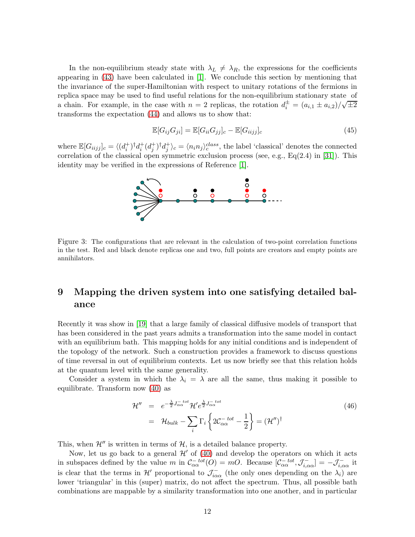In the non-equilibrium steady state with  $\lambda_L \neq \lambda_R$ , the expressions for the coefficients appearing in [\(43\)](#page-10-0) have been calculated in [\[1\]](#page-13-0). We conclude this section by mentioning that the invariance of the super-Hamiltonian with respect to unitary rotations of the fermions in replica space may be used to find useful relations for the non-equilibrium stationary state of a chain. For example, in the case with  $n = 2$  replicas, the rotation  $d_i^{\pm} = (a_{i,1} \pm a_{i,2})/\sqrt{\pm 2}$ transforms the expectation [\(44\)](#page-10-1) and allows us to show that:

$$
\mathbb{E}[G_{ij}G_{ji}] = \mathbb{E}[G_{ii}G_{jj}]_c - \mathbb{E}[G_{iijj}]_c
$$
\n(45)

where  $\mathbb{E}[G_{iijj}]_c = \langle (d_i^+)^\dagger d_i^+ (d_j^+)^\dagger d_j^+ \rangle_c = \langle n_i n_j \rangle_c^{class}$ , the label 'classical' denotes the connected correlation of the classical open symmetric exclusion process (see, e.g.,  $Eq(2.4)$  in [\[31\]](#page-15-8)). This identity may be verified in the expressions of Reference [\[1\]](#page-13-0).



<span id="page-11-1"></span>Figure 3: The configurations that are relevant in the calculation of two-point correlation functions in the test. Red and black denote replicas one and two, full points are creators and empty points are annihilators.

# <span id="page-11-0"></span>9 Mapping the driven system into one satisfying detailed balance

Recently it was show in [\[19\]](#page-14-8) that a large family of classical diffusive models of transport that has been considered in the past years admits a transformation into the same model in contact with an equilibrium bath. This mapping holds for any initial conditions and is independent of the topology of the network. Such a construction provides a framework to discuss questions of time reversal in out of equilibrium contexts. Let us now briefly see that this relation holds at the quantum level with the same generality.

Consider a system in which the  $\lambda_i = \lambda$  are all the same, thus making it possible to equilibrate. Transform now [\(40\)](#page-10-2) as

$$
\mathcal{H}'' = e^{-\frac{\lambda}{2}J_{\alpha\alpha}^{-tot}} \mathcal{H}' e^{\frac{\lambda}{2}J_{\alpha\alpha}^{-tot}} \n= \mathcal{H}_{bulk} - \sum_{i} \Gamma_i \left\{ 2\mathcal{C}_{\alpha\alpha}^{-tot} - \frac{1}{2} \right\} = (\mathcal{H}'')^{\dagger}
$$
\n(46)

This, when  $\mathcal{H}''$  is written in terms of  $\mathcal{H}$ , is a detailed balance property.

Now, let us go back to a general  $\mathcal{H}'$  of [\(40\)](#page-10-2) and develop the operators on which it acts in subspaces defined by the value m in  $\mathcal{C}_{\alpha\alpha}^{-\,tot}(O) = mO$ . Because  $[\mathcal{C}_{\alpha\alpha}^{-\,tot}, \mathcal{J}_{i,\alpha\alpha}^{-}] = -\mathcal{J}_{i,\alpha\alpha}^{-}$  it is clear that the terms in  $\mathcal{H}'$  proportional to  $\mathcal{J}^-_{i\alpha\alpha}$  (the only ones depending on the  $\lambda_i$ ) are lower 'triangular' in this (super) matrix, do not affect the spectrum. Thus, all possible bath combinations are mappable by a similarity transformation into one another, and in particular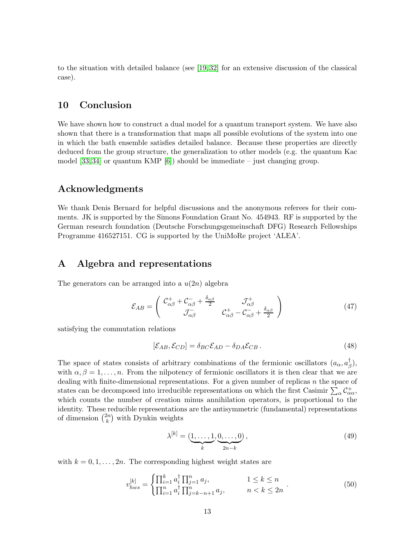to the situation with detailed balance (see [\[19,](#page-14-8) [32\]](#page-15-9) for an extensive discussion of the classical case).

# <span id="page-12-0"></span>10 Conclusion

We have shown how to construct a dual model for a quantum transport system. We have also shown that there is a transformation that maps all possible evolutions of the system into one in which the bath ensemble satisfies detailed balance. Because these properties are directly deduced from the group structure, the generalization to other models (e.g. the quantum Kac model [\[33,](#page-16-0) [34\]](#page-16-1) or quantum KMP  $[6]$ ) should be immediate – just changing group.

### Acknowledgments

We thank Denis Bernard for helpful discussions and the anonymous referees for their comments. JK is supported by the Simons Foundation Grant No. 454943. RF is supported by the German research foundation (Deutsche Forschungsgemeinschaft DFG) Research Fellowships Programme 416527151. CG is supported by the UniMoRe project 'ALEA'.

### <span id="page-12-1"></span>A Algebra and representations

The generators can be arranged into a  $u(2n)$  algebra

$$
\mathcal{E}_{AB} = \begin{pmatrix} C_{\alpha\beta}^+ + C_{\alpha\beta}^- + \frac{\delta_{\alpha\beta}}{2} & \mathcal{J}_{\alpha\beta}^+ \\ \mathcal{J}_{\alpha\beta}^- & C_{\alpha\beta}^+ - C_{\alpha\beta}^- + \frac{\delta_{\alpha\beta}}{2} \end{pmatrix}
$$
(47)

satisfying the commutation relations

$$
[\mathcal{E}_{AB}, \mathcal{E}_{CD}] = \delta_{BC} \mathcal{E}_{AD} - \delta_{DA} \mathcal{E}_{CB} \,. \tag{48}
$$

The space of states consists of arbitrary combinations of the fermionic oscillators  $(a_{\alpha}, a_{\beta}^{\dagger})$  $_{\beta}^{\prime}),$ with  $\alpha, \beta = 1, \ldots, n$ . From the nilpotency of fermionic oscillators it is then clear that we are dealing with finite-dimensional representations. For a given number of replicas  $n$  the space of states can be decomposed into irreducible representations on which the first Casimir  $\sum_{\alpha} C_{\alpha\alpha}^{+}$ , which counts the number of creation minus annihilation operators, is proportional to the identity. These reducible representations are the antisymmetric (fundamental) representations of dimension  $\binom{2n}{k}$  $\binom{2n}{k}$  with Dynkin weights

<span id="page-12-2"></span>
$$
\lambda^{[k]} = (\underbrace{1, \dots, 1}_{k}, \underbrace{0, \dots, 0}_{2n-k}),
$$
\n(49)

with  $k = 0, 1, \ldots, 2n$ . The corresponding highest weight states are

$$
v_{hws}^{[k]} = \begin{cases} \prod_{i=1}^{k} a_i^{\dagger} \prod_{j=1}^{n} a_j, & 1 \le k \le n \\ \prod_{i=1}^{n} a_i^{\dagger} \prod_{j=k-n+1}^{n} a_j, & n < k \le 2n \end{cases} (50)
$$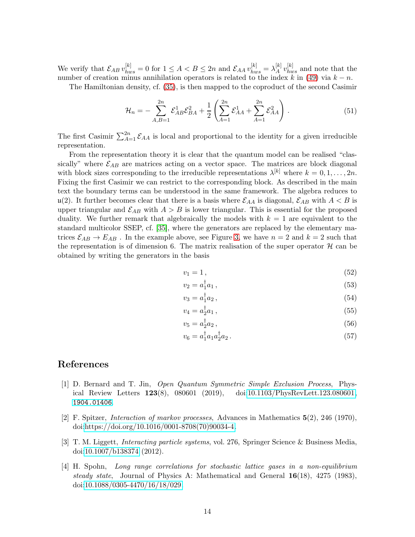We verify that  $\mathcal{E}_{AB} v_{hws}^{[k]} = 0$  for  $1 \leq A < B \leq 2n$  and  $\mathcal{E}_{AA} v_{hws}^{[k]} = \lambda_A^{[k]}$  $\left[ k \atop{A} v^{[k]}_{hws} \right]$  and note that the number of creation minus annihilation operators is related to the index k in [\(49\)](#page-12-2) via  $k - n$ .

The Hamiltonian density, cf. [\(35\)](#page-9-1), is then mapped to the coproduct of the second Casimir

$$
\mathcal{H}_n = -\sum_{A,B=1}^{2n} \mathcal{E}_{AB}^1 \mathcal{E}_{BA}^2 + \frac{1}{2} \left( \sum_{A=1}^{2n} \mathcal{E}_{AA}^1 + \sum_{A=1}^{2n} \mathcal{E}_{AA}^2 \right).
$$
 (51)

The first Casimir  $\sum_{A=1}^{2n} \mathcal{E}_{AA}$  is local and proportional to the identity for a given irreducible representation.

From the representation theory it is clear that the quantum model can be realised "classically" where  $\mathcal{E}_{AB}$  are matrices acting on a vector space. The matrices are block diagonal with block sizes corresponding to the irreducible representations  $\lambda^{[k]}$  where  $k = 0, 1, ..., 2n$ . Fixing the first Casimir we can restrict to the corresponding block. As described in the main text the boundary terms can be understood in the same framework. The algebra reduces to u(2). It further becomes clear that there is a basis where  $\mathcal{E}_{AA}$  is diagonal,  $\mathcal{E}_{AB}$  with  $A < B$  is upper triangular and  $\mathcal{E}_{AB}$  with  $A > B$  is lower triangular. This is essential for the proposed duality. We further remark that algebraically the models with  $k = 1$  are equivalent to the standard multicolor SSEP, cf. [\[35\]](#page-16-2), where the generators are replaced by the elementary matrices  $\mathcal{E}_{AB} \to E_{AB}$ . In the example above, see Figure [3,](#page-11-1) we have  $n = 2$  and  $k = 2$  such that the representation is of dimension 6. The matrix realisation of the super operator  $\mathcal{H}$  can be obtained by writing the generators in the basis

$$
v_1 = 1, \tag{52}
$$

$$
v_2 = a_1^\dagger a_1,\tag{53}
$$

$$
v_3 = a_1^\dagger a_2 \,,\tag{54}
$$

$$
v_4 = a_2^{\dagger} a_1 \,, \tag{55}
$$

$$
v_5 = a_2^{\dagger} a_2 \,, \tag{56}
$$

<span id="page-13-1"></span>
$$
v_6 = a_1^\dagger a_1 a_2^\dagger a_2. \tag{57}
$$

#### <span id="page-13-0"></span>References

- [1] D. Bernard and T. Jin, *Open Quantum Symmetric Simple Exclusion Process*, Physical Review Letters 123(8), 080601 (2019), doi[:10.1103/PhysRevLett.123.080601,](https://doi.org/10.1103/PhysRevLett.123.080601) <1904.01406>.
- <span id="page-13-2"></span>[2] F. Spitzer, *Interaction of markov processes*, Advances in Mathematics 5(2), 246 (1970), doi[:https://doi.org/10.1016/0001-8708\(70\)90034-4.](https://doi.org/https://doi.org/10.1016/0001-8708(70)90034-4)
- <span id="page-13-3"></span>[3] T. M. Liggett, *Interacting particle systems*, vol. 276, Springer Science & Business Media, doi[:10.1007/b138374](https://doi.org/10.1007/b138374) (2012).
- <span id="page-13-4"></span>[4] H. Spohn, *Long range correlations for stochastic lattice gases in a non-equilibrium steady state*, Journal of Physics A: Mathematical and General 16(18), 4275 (1983), doi[:10.1088/0305-4470/16/18/029.](https://doi.org/10.1088/0305-4470/16/18/029)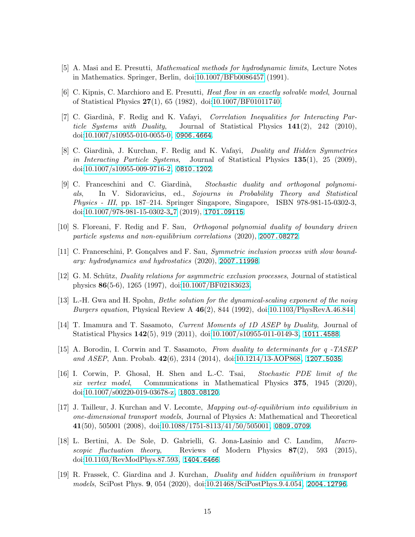- <span id="page-14-1"></span><span id="page-14-0"></span>[5] A. Masi and E. Presutti, *Mathematical methods for hydrodynamic limits*, Lecture Notes in Mathematics. Springer, Berlin, doi[:10.1007/BFb0086457](https://doi.org/10.1007/BFb0086457) (1991).
- [6] C. Kipnis, C. Marchioro and E. Presutti, *Heat flow in an exactly solvable model*, Journal of Statistical Physics 27(1), 65 (1982), doi[:10.1007/BF01011740.](https://doi.org/10.1007/BF01011740)
- [7] C. Giardin`a, F. Redig and K. Vafayi, *Correlation Inequalities for Interacting Particle Systems with Duality*, Journal of Statistical Physics 141(2), 242 (2010), doi[:10.1007/s10955-010-0055-0,](https://doi.org/10.1007/s10955-010-0055-0) <0906.4664>.
- [8] C. Giardin`a, J. Kurchan, F. Redig and K. Vafayi, *Duality and Hidden Symmetries in Interacting Particle Systems*, Journal of Statistical Physics 135(1), 25 (2009), doi[:10.1007/s10955-009-9716-2,](https://doi.org/10.1007/s10955-009-9716-2) <0810.1202>.
- [9] C. Franceschini and C. Giardin`a, *Stochastic duality and orthogonal polynomials*, In V. Sidoravicius, ed., *Sojourns in Probability Theory and Statistical Physics - III*, pp. 187–214. Springer Singapore, Singapore, ISBN 978-981-15-0302-3, doi[:10.1007/978-981-15-0302-3](https://doi.org/10.1007/978-981-15-0302-3_7) 7 (2019), <1701.09115>.
- <span id="page-14-2"></span>[10] S. Floreani, F. Redig and F. Sau, *Orthogonal polynomial duality of boundary driven particle systems and non-equilibrium correlations* (2020), <2007.08272>.
- [11] C. Franceschini, P. Gonçalves and F. Sau, *Symmetric inclusion process with slow boundary: hydrodynamics and hydrostatics* (2020), <2007.11998>.
- <span id="page-14-3"></span>[12] G. M. Schütz, *Duality relations for asymmetric exclusion processes*, Journal of statistical physics 86(5-6), 1265 (1997), doi[:10.1007/BF02183623.](https://doi.org/10.1007/BF02183623)
- [13] L.-H. Gwa and H. Spohn, *Bethe solution for the dynamical-scaling exponent of the noisy Burgers equation*, Physical Review A 46(2), 844 (1992), doi[:10.1103/PhysRevA.46.844.](https://doi.org/10.1103/PhysRevA.46.844)
- <span id="page-14-4"></span>[14] T. Imamura and T. Sasamoto, *Current Moments of 1D ASEP by Duality*, Journal of Statistical Physics 142(5), 919 (2011), doi[:10.1007/s10955-011-0149-3,](https://doi.org/10.1007/s10955-011-0149-3) <1011.4588>.
- [15] A. Borodin, I. Corwin and T. Sasamoto, *From duality to determinants for q -TASEP and ASEP*, Ann. Probab. 42(6), 2314 (2014), doi[:10.1214/13-AOP868,](https://doi.org/10.1214/13-AOP868) <1207.5035>.
- <span id="page-14-5"></span>[16] I. Corwin, P. Ghosal, H. Shen and L.-C. Tsai, *Stochastic PDE limit of the six vertex model*, Communications in Mathematical Physics 375, 1945 (2020), doi[:10.1007/s00220-019-03678-z,](https://doi.org/10.1007/s00220-019-03678-z) <1803.08120>.
- <span id="page-14-6"></span>[17] J. Tailleur, J. Kurchan and V. Lecomte, *Mapping out-of-equilibrium into equilibrium in one-dimensional transport models*, Journal of Physics A: Mathematical and Theoretical  $41(50)$ , 505001 (2008), doi[:10.1088/1751-8113/41/50/505001,](https://doi.org/10.1088/1751-8113/41/50/505001) <0809.0709>.
- <span id="page-14-7"></span>[18] L. Bertini, A. De Sole, D. Gabrielli, G. Jona-Lasinio and C. Landim, *Macroscopic fluctuation theory*, Reviews of Modern Physics 87(2), 593 (2015), doi[:10.1103/RevModPhys.87.593,](https://doi.org/10.1103/RevModPhys.87.593) <1404.6466>.
- <span id="page-14-8"></span>[19] R. Frassek, C. Giardina and J. Kurchan, *Duality and hidden equilibrium in transport models*, SciPost Phys. 9, 054 (2020), doi[:10.21468/SciPostPhys.9.4.054,](https://doi.org/10.21468/SciPostPhys.9.4.054) <2004.12796>.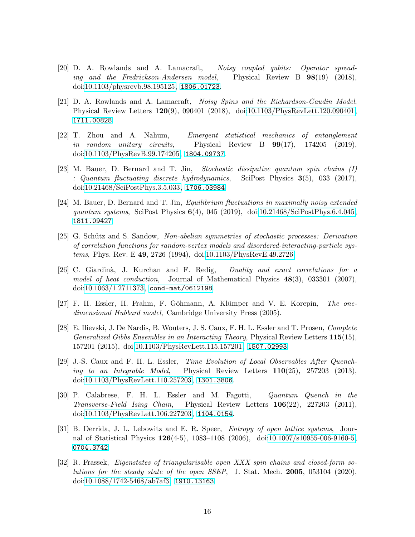- <span id="page-15-0"></span>[20] D. A. Rowlands and A. Lamacraft, *Noisy coupled qubits: Operator spreading and the Fredrickson-Andersen model*, Physical Review B 98(19) (2018), doi[:10.1103/physrevb.98.195125,](https://doi.org/10.1103/physrevb.98.195125) <1806.01723>.
- <span id="page-15-7"></span>[21] D. A. Rowlands and A. Lamacraft, *Noisy Spins and the Richardson-Gaudin Model*, Physical Review Letters 120(9), 090401 (2018), doi[:10.1103/PhysRevLett.120.090401,](https://doi.org/10.1103/PhysRevLett.120.090401) <1711.00828>.
- [22] T. Zhou and A. Nahum, *Emergent statistical mechanics of entanglement in random unitary circuits*, Physical Review B 99(17), 174205 (2019), doi[:10.1103/PhysRevB.99.174205,](https://doi.org/10.1103/PhysRevB.99.174205) <1804.09737>.
- <span id="page-15-4"></span>[23] M. Bauer, D. Bernard and T. Jin, *Stochastic dissipative quantum spin chains (I) : Quantum fluctuating discrete hydrodynamics*, SciPost Physics 3(5), 033 (2017), doi[:10.21468/SciPostPhys.3.5.033,](https://doi.org/10.21468/SciPostPhys.3.5.033) <1706.03984>.
- <span id="page-15-1"></span>[24] M. Bauer, D. Bernard and T. Jin, *Equilibrium fluctuations in maximally noisy extended quantum systems*, SciPost Physics 6(4), 045 (2019), doi[:10.21468/SciPostPhys.6.4.045,](https://doi.org/10.21468/SciPostPhys.6.4.045) <1811.09427>.
- <span id="page-15-2"></span>[25] G. Sch¨utz and S. Sandow, *Non-abelian symmetries of stochastic processes: Derivation of correlation functions for random-vertex models and disordered-interacting-particle systems*, Phys. Rev. E 49, 2726 (1994), doi[:10.1103/PhysRevE.49.2726.](https://doi.org/10.1103/PhysRevE.49.2726)
- <span id="page-15-3"></span>[26] C. Giardin`a, J. Kurchan and F. Redig, *Duality and exact correlations for a model of heat conduction*, Journal of Mathematical Physics 48(3), 033301 (2007), doi[:10.1063/1.2711373,](https://doi.org/10.1063/1.2711373) <cond-mat/0612198>.
- <span id="page-15-5"></span>[27] F. H. Essler, H. Frahm, F. Göhmann, A. Klümper and V. E. Korepin, *The onedimensional Hubbard model*, Cambridge University Press (2005).
- [28] E. Ilievski, J. De Nardis, B. Wouters, J. S. Caux, F. H. L. Essler and T. Prosen, *Complete Generalized Gibbs Ensembles in an Interacting Theory*, Physical Review Letters 115(15), 157201 (2015), doi[:10.1103/PhysRevLett.115.157201,](https://doi.org/10.1103/PhysRevLett.115.157201) <1507.02993>.
- [29] J.-S. Caux and F. H. L. Essler, *Time Evolution of Local Observables After Quenching to an Integrable Model*, Physical Review Letters 110(25), 257203 (2013), doi[:10.1103/PhysRevLett.110.257203,](https://doi.org/10.1103/PhysRevLett.110.257203) <1301.3806>.
- <span id="page-15-6"></span>[30] P. Calabrese, F. H. L. Essler and M. Fagotti, *Quantum Quench in the Transverse-Field Ising Chain*, Physical Review Letters 106(22), 227203 (2011), doi[:10.1103/PhysRevLett.106.227203,](https://doi.org/10.1103/PhysRevLett.106.227203) <1104.0154>.
- <span id="page-15-8"></span>[31] B. Derrida, J. L. Lebowitz and E. R. Speer, *Entropy of open lattice systems*, Journal of Statistical Physics 126(4-5), 1083–1108 (2006), doi[:10.1007/s10955-006-9160-5,](https://doi.org/10.1007/s10955-006-9160-5) <0704.3742>.
- <span id="page-15-9"></span>[32] R. Frassek, *Eigenstates of triangularisable open XXX spin chains and closed-form solutions for the steady state of the open SSEP*, J. Stat. Mech. 2005, 053104 (2020), doi[:10.1088/1742-5468/ab7af3,](https://doi.org/10.1088/1742-5468/ab7af3) <1910.13163>.